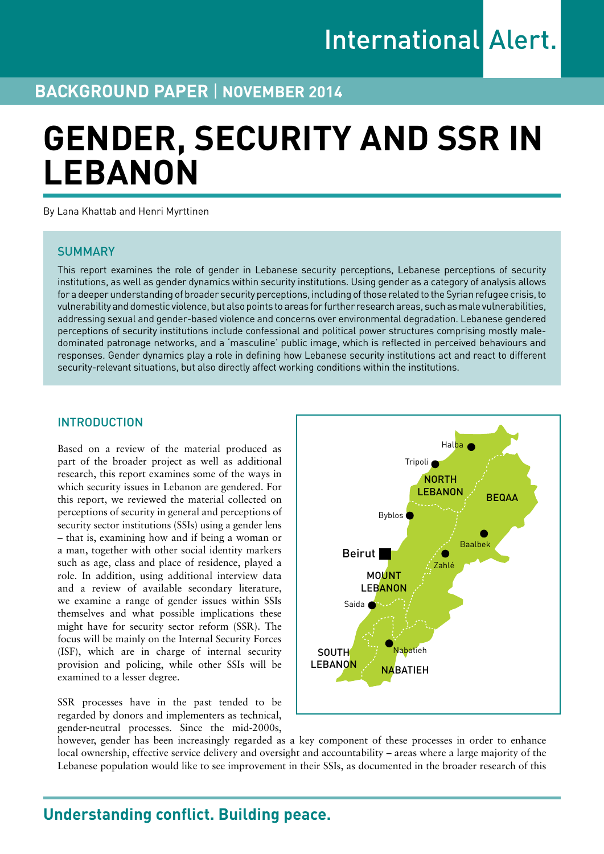# **BACKGROUND PAPER** | **November 2014**

# **GENDER, SECURITY AND SSR IN LEBANON**

By Lana Khattab and Henri Myrttinen

# **SUMMARY**

This report examines the role of gender in Lebanese security perceptions, Lebanese perceptions of security institutions, as well as gender dynamics within security institutions. Using gender as a category of analysis allows for a deeper understanding of broader security perceptions, including of those related to the Syrian refugee crisis, to vulnerability and domestic violence, but also points to areas for further research areas, such as male vulnerabilities, addressing sexual and gender-based violence and concerns over environmental degradation. Lebanese gendered perceptions of security institutions include confessional and political power structures comprising mostly maledominated patronage networks, and a 'masculine' public image, which is reflected in perceived behaviours and responses. Gender dynamics play a role in defining how Lebanese security institutions act and react to different security-relevant situations, but also directly affect working conditions within the institutions.

# INTRODUCTION

Based on a review of the material produced as part of the broader project as well as additional research, this report examines some of the ways in which security issues in Lebanon are gendered. For this report, we reviewed the material collected on perceptions of security in general and perceptions of security sector institutions (SSIs) using a gender lens – that is, examining how and if being a woman or a man, together with other social identity markers such as age, class and place of residence, played a role. In addition, using additional interview data and a review of available secondary literature, we examine a range of gender issues within SSIs themselves and what possible implications these might have for security sector reform (SSR). The focus will be mainly on the Internal Security Forces (ISF), which are in charge of internal security provision and policing, while other SSIs will be examined to a lesser degree.

SSR processes have in the past tended to be regarded by donors and implementers as technical, gender-neutral processes. Since the mid-2000s,



however, gender has been increasingly regarded as a key component of these processes in order to enhance local ownership, effective service delivery and oversight and accountability – areas where a large majority of the Lebanese population would like to see improvement in their SSIs, as documented in the broader research of this

# **Understanding conflict. Building peace.**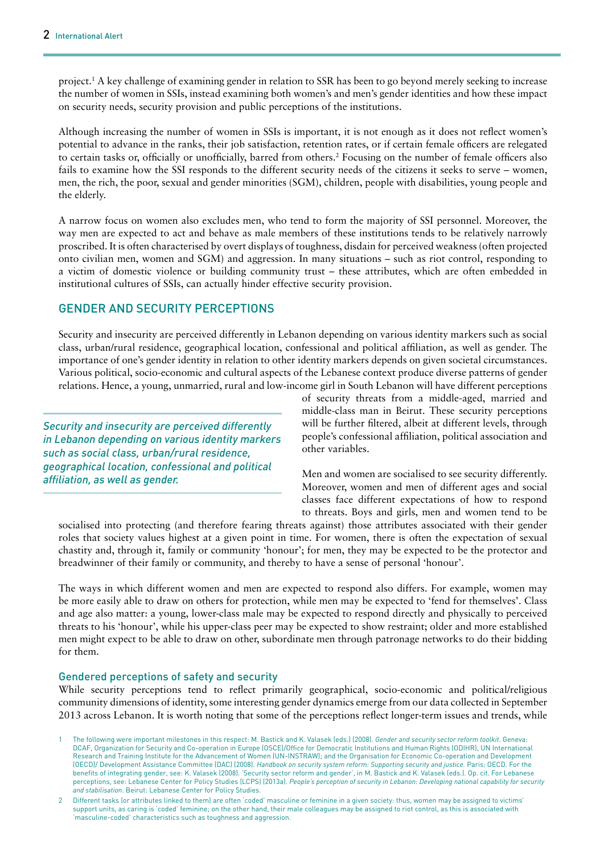project.1 A key challenge of examining gender in relation to SSR has been to go beyond merely seeking to increase the number of women in SSIs, instead examining both women's and men's gender identities and how these impact on security needs, security provision and public perceptions of the institutions.

Although increasing the number of women in SSIs is important, it is not enough as it does not reflect women's potential to advance in the ranks, their job satisfaction, retention rates, or if certain female officers are relegated to certain tasks or, officially or unofficially, barred from others.2 Focusing on the number of female officers also fails to examine how the SSI responds to the different security needs of the citizens it seeks to serve – women, men, the rich, the poor, sexual and gender minorities (SGM), children, people with disabilities, young people and the elderly.

A narrow focus on women also excludes men, who tend to form the majority of SSI personnel. Moreover, the way men are expected to act and behave as male members of these institutions tends to be relatively narrowly proscribed. It is often characterised by overt displays of toughness, disdain for perceived weakness (often projected onto civilian men, women and SGM) and aggression. In many situations – such as riot control, responding to a victim of domestic violence or building community trust – these attributes, which are often embedded in institutional cultures of SSIs, can actually hinder effective security provision.

# GENDER AND SECURITY PERCEPTIONS

Security and insecurity are perceived differently in Lebanon depending on various identity markers such as social class, urban/rural residence, geographical location, confessional and political affiliation, as well as gender. The importance of one's gender identity in relation to other identity markers depends on given societal circumstances. Various political, socio-economic and cultural aspects of the Lebanese context produce diverse patterns of gender relations. Hence, a young, unmarried, rural and low-income girl in South Lebanon will have different perceptions

*Security and insecurity are perceived differently in Lebanon depending on various identity markers such as social class, urban/rural residence, geographical location, confessional and political affiliation, as well as gender.*

of security threats from a middle-aged, married and middle-class man in Beirut. These security perceptions will be further filtered, albeit at different levels, through people's confessional affiliation, political association and other variables.

Men and women are socialised to see security differently. Moreover, women and men of different ages and social classes face different expectations of how to respond to threats. Boys and girls, men and women tend to be

socialised into protecting (and therefore fearing threats against) those attributes associated with their gender roles that society values highest at a given point in time. For women, there is often the expectation of sexual chastity and, through it, family or community 'honour'; for men, they may be expected to be the protector and breadwinner of their family or community, and thereby to have a sense of personal 'honour'.

The ways in which different women and men are expected to respond also differs. For example, women may be more easily able to draw on others for protection, while men may be expected to 'fend for themselves'. Class and age also matter: a young, lower-class male may be expected to respond directly and physically to perceived threats to his 'honour', while his upper-class peer may be expected to show restraint; older and more established men might expect to be able to draw on other, subordinate men through patronage networks to do their bidding for them.

### Gendered perceptions of safety and security

While security perceptions tend to reflect primarily geographical, socio-economic and political/religious community dimensions of identity, some interesting gender dynamics emerge from our data collected in September 2013 across Lebanon. It is worth noting that some of the perceptions reflect longer-term issues and trends, while

<sup>1</sup> The following were important milestones in this respect: M. Bastick and K. Valasek (eds.) (2008). *Gender and security sector reform toolkit*. Geneva: DCAF, Organization for Security and Co-operation in Europe (OSCE)/Office for Democratic Institutions and Human Rights (ODIHR), UN International Research and Training Institute for the Advancement of Women (UN-INSTRAW); and the Organisation for Economic Co-operation and Development (OECD)/ Development Assistance Committee (DAC) (2008). *Handbook on security system reform: Supporting security and justice.* Paris: OECD. For the benefits of integrating gender, see: K. Valasek (2008). 'Security sector reform and gender', in M. Bastick and K. Valasek (eds.). Op. cit. For Lebanese perceptions, see: Lebanese Center for Policy Studies (LCPS) (2013a). *People's perception of security in Lebanon: Developing national capability for security and stabilisation*. Beirut: Lebanese Center for Policy Studies.

<sup>2</sup> Different tasks (or attributes linked to them) are often 'coded' masculine or feminine in a given society: thus, women may be assigned to victims' support units, as caring is 'coded' feminine; on the other hand, their male colleagues may be assigned to riot control, as this is associated with 'masculine-coded' characteristics such as toughness and aggression.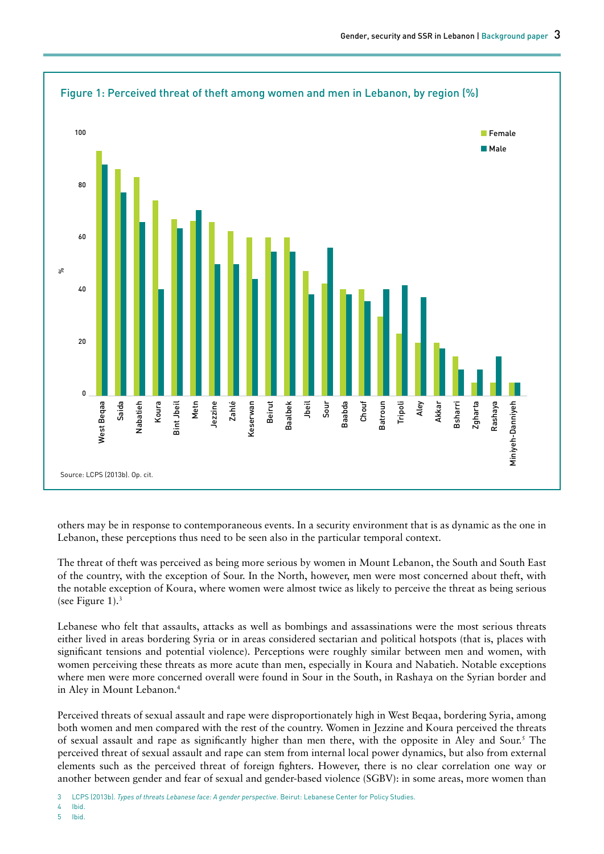

others may be in response to contemporaneous events. In a security environment that is as dynamic as the one in Lebanon, these perceptions thus need to be seen also in the particular temporal context.

The threat of theft was perceived as being more serious by women in Mount Lebanon, the South and South East of the country, with the exception of Sour. In the North, however, men were most concerned about theft, with the notable exception of Koura, where women were almost twice as likely to perceive the threat as being serious (see Figure 1). $3$ 

Lebanese who felt that assaults, attacks as well as bombings and assassinations were the most serious threats either lived in areas bordering Syria or in areas considered sectarian and political hotspots (that is, places with significant tensions and potential violence). Perceptions were roughly similar between men and women, with women perceiving these threats as more acute than men, especially in Koura and Nabatieh. Notable exceptions where men were more concerned overall were found in Sour in the South, in Rashaya on the Syrian border and in Aley in Mount Lebanon.4

Perceived threats of sexual assault and rape were disproportionately high in West Beqaa, bordering Syria, among both women and men compared with the rest of the country. Women in Jezzine and Koura perceived the threats of sexual assault and rape as significantly higher than men there, with the opposite in Aley and Sour.<sup>5</sup> The perceived threat of sexual assault and rape can stem from internal local power dynamics, but also from external elements such as the perceived threat of foreign fighters. However, there is no clear correlation one way or another between gender and fear of sexual and gender-based violence (SGBV): in some areas, more women than

<sup>3</sup> LCPS (2013b). *Types of threats Lebanese face: A gender perspective*. Beirut: Lebanese Center for Policy Studies.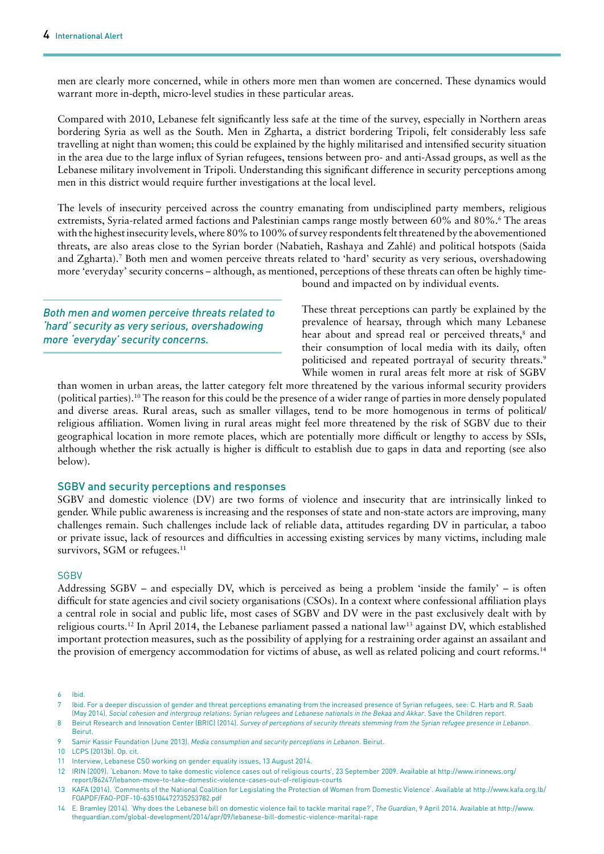men are clearly more concerned, while in others more men than women are concerned. These dynamics would warrant more in-depth, micro-level studies in these particular areas.

Compared with 2010, Lebanese felt significantly less safe at the time of the survey, especially in Northern areas bordering Syria as well as the South. Men in Zgharta, a district bordering Tripoli, felt considerably less safe travelling at night than women; this could be explained by the highly militarised and intensified security situation in the area due to the large influx of Syrian refugees, tensions between pro- and anti-Assad groups, as well as the Lebanese military involvement in Tripoli. Understanding this significant difference in security perceptions among men in this district would require further investigations at the local level.

The levels of insecurity perceived across the country emanating from undisciplined party members, religious extremists, Syria-related armed factions and Palestinian camps range mostly between 60% and 80%.6 The areas with the highest insecurity levels, where 80% to 100% of survey respondents felt threatened by the abovementioned threats, are also areas close to the Syrian border (Nabatieh, Rashaya and Zahlé) and political hotspots (Saida and Zgharta).7 Both men and women perceive threats related to 'hard' security as very serious, overshadowing more 'everyday' security concerns – although, as mentioned, perceptions of these threats can often be highly time-

*Both men and women perceive threats related to 'hard' security as very serious, overshadowing more 'everyday' security concerns.*

bound and impacted on by individual events.

These threat perceptions can partly be explained by the prevalence of hearsay, through which many Lebanese hear about and spread real or perceived threats,<sup>8</sup> and their consumption of local media with its daily, often politicised and repeated portrayal of security threats.<sup>9</sup> While women in rural areas felt more at risk of SGBV

than women in urban areas, the latter category felt more threatened by the various informal security providers (political parties).10 The reason for this could be the presence of a wider range of parties in more densely populated and diverse areas. Rural areas, such as smaller villages, tend to be more homogenous in terms of political/ religious affiliation. Women living in rural areas might feel more threatened by the risk of SGBV due to their geographical location in more remote places, which are potentially more difficult or lengthy to access by SSIs, although whether the risk actually is higher is difficult to establish due to gaps in data and reporting (see also below).

#### SGBV and security perceptions and responses

SGBV and domestic violence (DV) are two forms of violence and insecurity that are intrinsically linked to gender. While public awareness is increasing and the responses of state and non-state actors are improving, many challenges remain. Such challenges include lack of reliable data, attitudes regarding DV in particular, a taboo or private issue, lack of resources and difficulties in accessing existing services by many victims, including male survivors, SGM or refugees.<sup>11</sup>

#### **SGBV**

Addressing SGBV – and especially DV, which is perceived as being a problem 'inside the family' – is often difficult for state agencies and civil society organisations (CSOs). In a context where confessional affiliation plays a central role in social and public life, most cases of SGBV and DV were in the past exclusively dealt with by religious courts.12 In April 2014, the Lebanese parliament passed a national law13 against DV, which established important protection measures, such as the possibility of applying for a restraining order against an assailant and the provision of emergency accommodation for victims of abuse, as well as related policing and court reforms.14

6 Ibid.

10 LCPS (2013b). Op. cit.

12 IRIN (2009). 'Lebanon: Move to take domestic violence cases out of religious courts', 23 September 2009. Available at [http://www.irinnews.org/](http://www.irinnews.org/report/86247/lebanon-move-to-take-domestic-violence-cases-out-of-religious-courts) [report/86247/lebanon-move-to-take-domestic-violence-cases-out-of-religious-courts](http://www.irinnews.org/report/86247/lebanon-move-to-take-domestic-violence-cases-out-of-religious-courts)

<sup>7</sup> Ibid. For a deeper discussion of gender and threat perceptions emanating from the increased presence of Syrian refugees, see: C. Harb and R. Saab (May 2014). *Social cohesion and intergroup relations: Syrian refugees and Lebanese nationals in the Bekaa and Akkar*. Save the Children report.

<sup>8</sup> Beirut Research and Innovation Center (BRIC) (2014). *Survey of perceptions of security threats stemming from the Syrian refugee presence in Lebanon*. Beirut.

<sup>9</sup> Samir Kassir Foundation (June 2013). *Media consumption and security perceptions in Lebanon*. Beirut.

<sup>11</sup> Interview, Lebanese CSO working on gender equality issues, 13 August 2014.

<sup>13</sup> KAFA (2014). 'Comments of the National Coalition for Legislating the Protection of Women from Domestic Violence'. Available at [http://www.kafa.org.lb/](http://www.kafa.org.lb/FOAPDF/FAO-PDF-10-635104472735253782.pdf) [FOAPDF/FAO-PDF-10-635104472735253782.pdf](http://www.kafa.org.lb/FOAPDF/FAO-PDF-10-635104472735253782.pdf) 

<sup>14</sup> E. Bramley (2014). 'Why does the Lebanese bill on domestic violence fail to tackle marital rape?', *The Guardian*, 9 April 2014. Available at [http://www.](http://www.theguardian.com/global-development/2014/apr/09/lebanese-bill-domestic-violence-marital-rape) [theguardian.com/global-development/2014/apr/09/lebanese-bill-domestic-violence-marital-rape](http://www.theguardian.com/global-development/2014/apr/09/lebanese-bill-domestic-violence-marital-rape)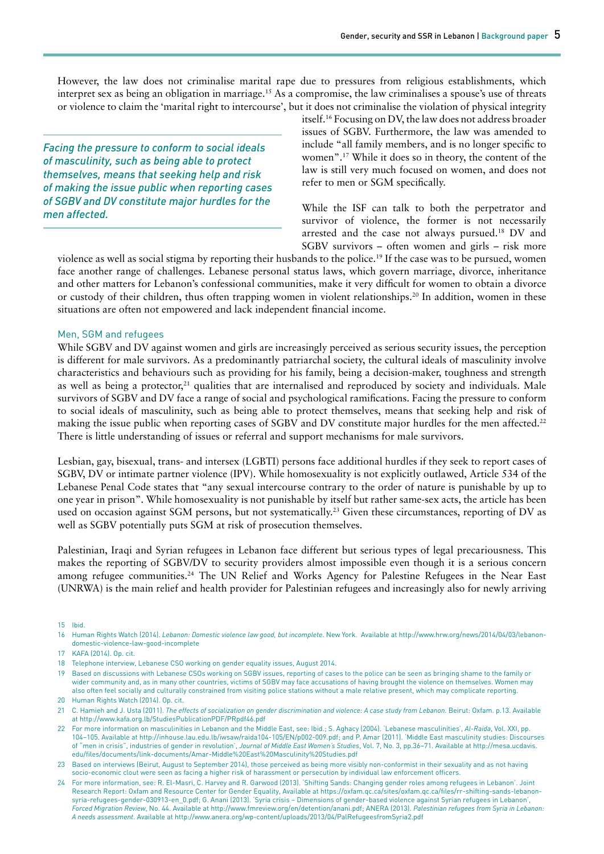However, the law does not criminalise marital rape due to pressures from religious establishments, which interpret sex as being an obligation in marriage.15 As a compromise, the law criminalises a spouse's use of threats or violence to claim the 'marital right to intercourse', but it does not criminalise the violation of physical integrity

*Facing the pressure to conform to social ideals of masculinity, such as being able to protect themselves, means that seeking help and risk of making the issue public when reporting cases of SGBV and DV constitute major hurdles for the men affected.*

itself.16 Focusing on DV, the law does not address broader issues of SGBV. Furthermore, the law was amended to include "all family members, and is no longer specific to women".17 While it does so in theory, the content of the law is still very much focused on women, and does not refer to men or SGM specifically.

While the ISF can talk to both the perpetrator and survivor of violence, the former is not necessarily arrested and the case not always pursued.18 DV and SGBV survivors – often women and girls – risk more

violence as well as social stigma by reporting their husbands to the police.19 If the case was to be pursued, women face another range of challenges. Lebanese personal status laws, which govern marriage, divorce, inheritance and other matters for Lebanon's confessional communities, make it very difficult for women to obtain a divorce or custody of their children, thus often trapping women in violent relationships.<sup>20</sup> In addition, women in these situations are often not empowered and lack independent financial income.

#### Men, SGM and refugees

While SGBV and DV against women and girls are increasingly perceived as serious security issues, the perception is different for male survivors. As a predominantly patriarchal society, the cultural ideals of masculinity involve characteristics and behaviours such as providing for his family, being a decision-maker, toughness and strength as well as being a protector, $21$  qualities that are internalised and reproduced by society and individuals. Male survivors of SGBV and DV face a range of social and psychological ramifications. Facing the pressure to conform to social ideals of masculinity, such as being able to protect themselves, means that seeking help and risk of making the issue public when reporting cases of SGBV and DV constitute major hurdles for the men affected.<sup>22</sup> There is little understanding of issues or referral and support mechanisms for male survivors.

Lesbian, gay, bisexual, trans- and intersex (LGBTI) persons face additional hurdles if they seek to report cases of SGBV, DV or intimate partner violence (IPV). While homosexuality is not explicitly outlawed, Article 534 of the Lebanese Penal Code states that "any sexual intercourse contrary to the order of nature is punishable by up to one year in prison". While homosexuality is not punishable by itself but rather same-sex acts, the article has been used on occasion against SGM persons, but not systematically.<sup>23</sup> Given these circumstances, reporting of DV as well as SGBV potentially puts SGM at risk of prosecution themselves.

Palestinian, Iraqi and Syrian refugees in Lebanon face different but serious types of legal precariousness. This makes the reporting of SGBV/DV to security providers almost impossible even though it is a serious concern among refugee communities.<sup>24</sup> The UN Relief and Works Agency for Palestine Refugees in the Near East (UNRWA) is the main relief and health provider for Palestinian refugees and increasingly also for newly arriving

- 17 KAFA (2014). Op. cit.
- 18 Telephone interview, Lebanese CSO working on gender equality issues, August 2014.
- 19 Based on discussions with Lebanese CSOs working on SGBV issues, reporting of cases to the police can be seen as bringing shame to the family or wider community and, as in many other countries, victims of SGBV may face accusations of having brought the violence on themselves. Women may also often feel socially and culturally constrained from visiting police stations without a male relative present, which may complicate reporting. 20 Human Rights Watch (2014). Op. cit.

<sup>16</sup> Human Rights Watch (2014). *Lebanon: Domestic violence law good, but incomplete*. New York. Available at [http://www.hrw.org/news/2014/04/03/lebanon](http://www.hrw.org/news/2014/04/03/lebanon-domestic-violence-law-good-incomplete)[domestic-violence-law-good-incomplete](http://www.hrw.org/news/2014/04/03/lebanon-domestic-violence-law-good-incomplete)

<sup>21</sup> C. Hamieh and J. Usta (2011). *The effects of socialization on gender discrimination and violence: A case study from Lebanon*. Beirut: Oxfam. p.13. Available at <http://www.kafa.org.lb/StudiesPublicationPDF/PRpdf46.pdf>

<sup>22</sup> For more information on masculinities in Lebanon and the Middle East, see: Ibid.; S. Aghacy (2004). 'Lebanese masculinities', *Al-Raida*, Vol. XXI, pp. 104–105. Available at [http://inhouse.lau.edu.lb/iwsaw/raida104-105/EN/p002-009.pdf;](http://inhouse.lau.edu.lb/iwsaw/raida104-105/EN/p002-009.pdf) and P. Amar (2011). 'Middle East masculinity studies: Discourses of "men in crisis", industries of gender in revolution', *Journal of Middle East Women's Studies*, Vol. 7, No. 3, pp.36–71. Available at [http://mesa.ucdavis.](http://mesa.ucdavis.edu/files/documents/link-documents/Amar-Middle East Masculinity Studies.pdf) [edu/files/documents/link-documents/Amar-Middle%20East%20Masculinity%20Studies.pdf](http://mesa.ucdavis.edu/files/documents/link-documents/Amar-Middle East Masculinity Studies.pdf) 

<sup>23</sup> Based on interviews (Beirut, August to September 2014), those perceived as being more visibly non-conformist in their sexuality and as not having socio-economic clout were seen as facing a higher risk of harassment or persecution by individual law enforcement officers.

<sup>24</sup> For more information, see: R. El-Masri, C. Harvey and R. Garwood (2013). 'Shifting Sands: Changing gender roles among refugees in Lebanon'. Joint Research Report: Oxfam and Resource Center for Gender Equality, Available at [https://oxfam.qc.ca/sites/oxfam.qc.ca/files/rr-shifting-sands-lebanon](https://oxfam.qc.ca/sites/oxfam.qc.ca/files/rr-shifting-sands-lebanon-syria-refugees-gender-030913-en_0.pdf)[syria-refugees-gender-030913-en\\_0.pdf;](https://oxfam.qc.ca/sites/oxfam.qc.ca/files/rr-shifting-sands-lebanon-syria-refugees-gender-030913-en_0.pdf) G. Anani (2013). 'Syria crisis – Dimensions of gender-based violence against Syrian refugees in Lebanon', *Forced Migration Review*, No. 44. Available at <http://www.fmreview.org/en/detention/anani.pdf>; ANERA (2013). *Palestinian refugees from Syria in Lebanon: A needs assessment*. Available at<http://www.anera.org/wp-content/uploads/2013/04/PalRefugeesfromSyria2.pdf>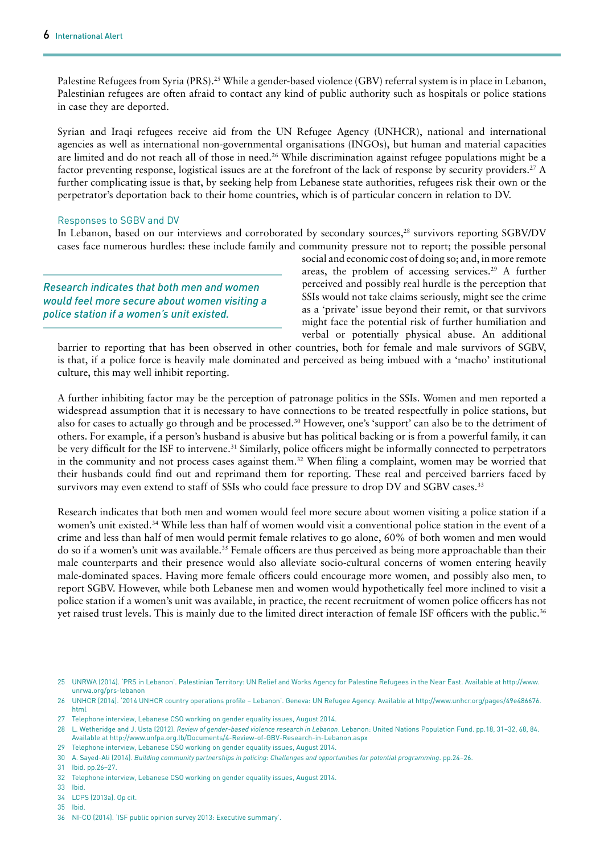Palestine Refugees from Syria (PRS).<sup>25</sup> While a gender-based violence (GBV) referral system is in place in Lebanon, Palestinian refugees are often afraid to contact any kind of public authority such as hospitals or police stations in case they are deported.

Syrian and Iraqi refugees receive aid from the UN Refugee Agency (UNHCR), national and international agencies as well as international non-governmental organisations (INGOs), but human and material capacities are limited and do not reach all of those in need.26 While discrimination against refugee populations might be a factor preventing response, logistical issues are at the forefront of the lack of response by security providers.27 A further complicating issue is that, by seeking help from Lebanese state authorities, refugees risk their own or the perpetrator's deportation back to their home countries, which is of particular concern in relation to DV.

#### Responses to SGBV and DV

In Lebanon, based on our interviews and corroborated by secondary sources,<sup>28</sup> survivors reporting SGBV/DV cases face numerous hurdles: these include family and community pressure not to report; the possible personal

*Research indicates that both men and women would feel more secure about women visiting a police station if a women's unit existed.*

social and economic cost of doing so; and, in more remote areas, the problem of accessing services.<sup>29</sup> A further perceived and possibly real hurdle is the perception that SSIs would not take claims seriously, might see the crime as a 'private' issue beyond their remit, or that survivors might face the potential risk of further humiliation and verbal or potentially physical abuse. An additional

barrier to reporting that has been observed in other countries, both for female and male survivors of SGBV, is that, if a police force is heavily male dominated and perceived as being imbued with a 'macho' institutional culture, this may well inhibit reporting.

A further inhibiting factor may be the perception of patronage politics in the SSIs. Women and men reported a widespread assumption that it is necessary to have connections to be treated respectfully in police stations, but also for cases to actually go through and be processed.30 However, one's 'support' can also be to the detriment of others. For example, if a person's husband is abusive but has political backing or is from a powerful family, it can be very difficult for the ISF to intervene.<sup>31</sup> Similarly, police officers might be informally connected to perpetrators in the community and not process cases against them.<sup>32</sup> When filing a complaint, women may be worried that their husbands could find out and reprimand them for reporting. These real and perceived barriers faced by survivors may even extend to staff of SSIs who could face pressure to drop DV and SGBV cases.<sup>33</sup>

Research indicates that both men and women would feel more secure about women visiting a police station if a women's unit existed.34 While less than half of women would visit a conventional police station in the event of a crime and less than half of men would permit female relatives to go alone, 60% of both women and men would do so if a women's unit was available.35 Female officers are thus perceived as being more approachable than their male counterparts and their presence would also alleviate socio-cultural concerns of women entering heavily male-dominated spaces. Having more female officers could encourage more women, and possibly also men, to report SGBV. However, while both Lebanese men and women would hypothetically feel more inclined to visit a police station if a women's unit was available, in practice, the recent recruitment of women police officers has not yet raised trust levels. This is mainly due to the limited direct interaction of female ISF officers with the public.36

- 32 Telephone interview, Lebanese CSO working on gender equality issues, August 2014.
- 33 Ibid.
- 34 LCPS (2013a). Op cit.
- 35 Ibid.
- 36 NI-CO (2014). 'ISF public opinion survey 2013: Executive summary'.

<sup>25</sup> UNRWA (2014). 'PRS in Lebanon'. Palestinian Territory: UN Relief and Works Agency for Palestine Refugees in the Near East. Available at [http://www.](http://www.unrwa.org/prs-lebanon) [unrwa.org/prs-lebanon](http://www.unrwa.org/prs-lebanon) 

<sup>26</sup> UNHCR (2014). '2014 UNHCR country operations profile – Lebanon'. Geneva: UN Refugee Agency. Available at [http://www.unhcr.org/pages/49e486676.](http://www.unhcr.org/pages/49e486676.html) [html](http://www.unhcr.org/pages/49e486676.html)

<sup>27</sup> Telephone interview, Lebanese CSO working on gender equality issues, August 2014.

<sup>28</sup> L. Wetheridge and J. Usta (2012). *Review of gender-based violence research in Lebanon*. Lebanon: United Nations Population Fund. pp.18, 31–32, 68, 84. Available at<http://www.unfpa.org.lb/Documents/4-Review-of-GBV-Research-in-Lebanon.aspx>

<sup>29</sup> Telephone interview, Lebanese CSO working on gender equality issues, August 2014.

<sup>30</sup> A. Sayed-Ali (2014). *Building community partnerships in policing: Challenges and opportunities for potential programming*. pp.24–26.

<sup>31</sup> Ibid. pp.26–27.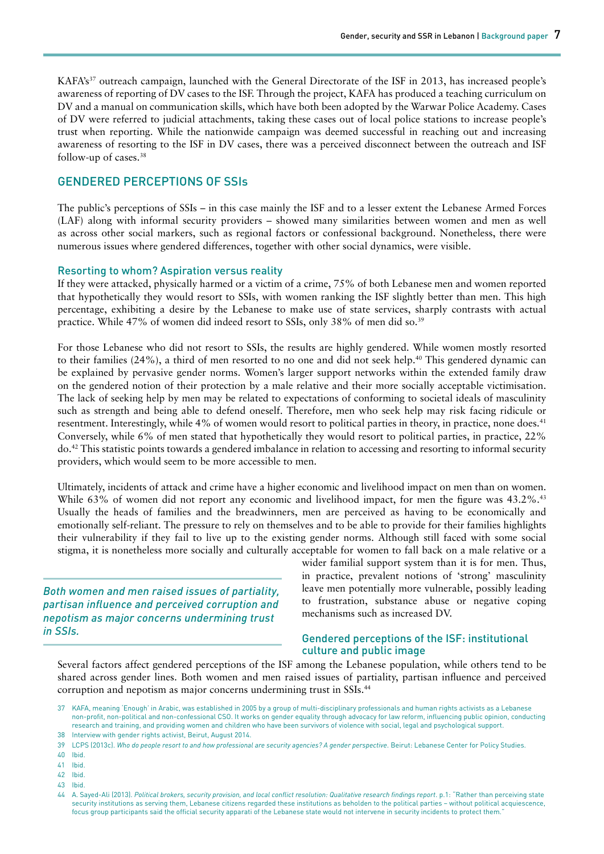KAFA's<sup>37</sup> outreach campaign, launched with the General Directorate of the ISF in 2013, has increased people's awareness of reporting of DV cases to the ISF. Through the project, KAFA has produced a teaching curriculum on DV and a manual on communication skills, which have both been adopted by the Warwar Police Academy. Cases of DV were referred to judicial attachments, taking these cases out of local police stations to increase people's trust when reporting. While the nationwide campaign was deemed successful in reaching out and increasing awareness of resorting to the ISF in DV cases, there was a perceived disconnect between the outreach and ISF follow-up of cases.38

### GENDERED PERCEPTIONS OF SSIs

The public's perceptions of SSIs – in this case mainly the ISF and to a lesser extent the Lebanese Armed Forces (LAF) along with informal security providers – showed many similarities between women and men as well as across other social markers, such as regional factors or confessional background. Nonetheless, there were numerous issues where gendered differences, together with other social dynamics, were visible.

#### Resorting to whom? Aspiration versus reality

If they were attacked, physically harmed or a victim of a crime, 75% of both Lebanese men and women reported that hypothetically they would resort to SSIs, with women ranking the ISF slightly better than men. This high percentage, exhibiting a desire by the Lebanese to make use of state services, sharply contrasts with actual practice. While 47% of women did indeed resort to SSIs, only 38% of men did so.39

For those Lebanese who did not resort to SSIs, the results are highly gendered. While women mostly resorted to their families (24%), a third of men resorted to no one and did not seek help.40 This gendered dynamic can be explained by pervasive gender norms. Women's larger support networks within the extended family draw on the gendered notion of their protection by a male relative and their more socially acceptable victimisation. The lack of seeking help by men may be related to expectations of conforming to societal ideals of masculinity such as strength and being able to defend oneself. Therefore, men who seek help may risk facing ridicule or resentment. Interestingly, while 4% of women would resort to political parties in theory, in practice, none does.<sup>41</sup> Conversely, while 6% of men stated that hypothetically they would resort to political parties, in practice, 22% do.42 This statistic points towards a gendered imbalance in relation to accessing and resorting to informal security providers, which would seem to be more accessible to men.

Ultimately, incidents of attack and crime have a higher economic and livelihood impact on men than on women. While 63% of women did not report any economic and livelihood impact, for men the figure was 43.2%.<sup>43</sup> Usually the heads of families and the breadwinners, men are perceived as having to be economically and emotionally self-reliant. The pressure to rely on themselves and to be able to provide for their families highlights their vulnerability if they fail to live up to the existing gender norms. Although still faced with some social stigma, it is nonetheless more socially and culturally acceptable for women to fall back on a male relative or a

*Both women and men raised issues of partiality, partisan influence and perceived corruption and nepotism as major concerns undermining trust in SSIs.*

wider familial support system than it is for men. Thus, in practice, prevalent notions of 'strong' masculinity leave men potentially more vulnerable, possibly leading to frustration, substance abuse or negative coping mechanisms such as increased DV.

#### Gendered perceptions of the ISF: institutional culture and public image

Several factors affect gendered perceptions of the ISF among the Lebanese population, while others tend to be shared across gender lines. Both women and men raised issues of partiality, partisan influence and perceived corruption and nepotism as major concerns undermining trust in SSIs.44

41 Ibid.

<sup>37</sup> KAFA, meaning 'Enough' in Arabic, was established in 2005 by a group of multi-disciplinary professionals and human rights activists as a Lebanese non-profit, non-political and non-confessional CSO. It works on gender equality through advocacy for law reform, influencing public opinion, conducting research and training, and providing women and children who have been survivors of violence with social, legal and psychological support.

<sup>38</sup> Interview with gender rights activist, Beirut, August 2014.

<sup>39</sup> LCPS (2013c). *Who do people resort to and how professional are security agencies? A gender perspective*. Beirut: Lebanese Center for Policy Studies.

<sup>40</sup> Ibid.

<sup>42</sup> Ibid.

<sup>44</sup> A. Sayed-Ali (2013). *Political brokers, security provision, and local conflict resolution: Qualitative research findings report*. p.1: "Rather than perceiving state security institutions as serving them, Lebanese citizens regarded these institutions as beholden to the political parties – without political acquiescence, focus group participants said the official security apparati of the Lebanese state would not intervene in security incidents to protect them."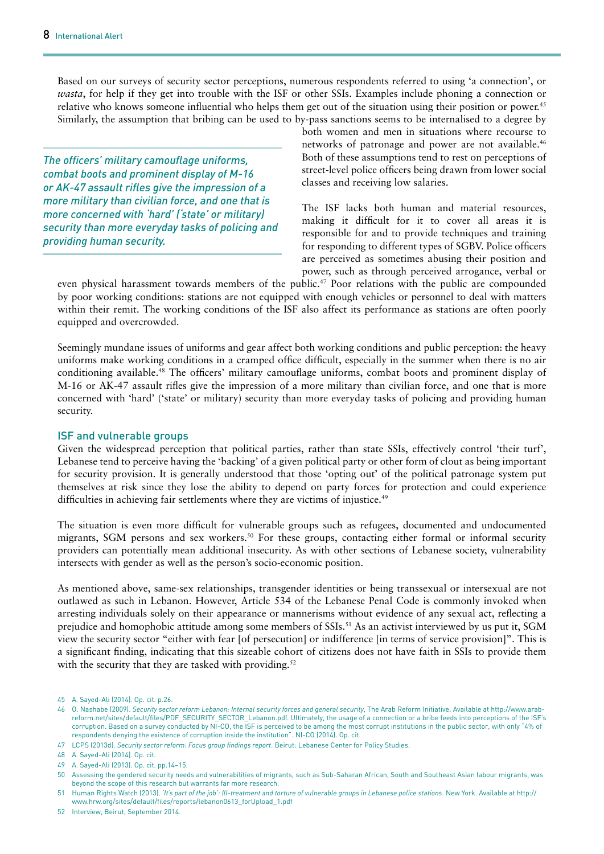Based on our surveys of security sector perceptions, numerous respondents referred to using 'a connection', or *wasta*, for help if they get into trouble with the ISF or other SSIs. Examples include phoning a connection or relative who knows someone influential who helps them get out of the situation using their position or power.<sup>45</sup> Similarly, the assumption that bribing can be used to by-pass sanctions seems to be internalised to a degree by

*The officers' military camouflage uniforms, combat boots and prominent display of M-16 or AK-47 assault rifles give the impression of a more military than civilian force, and one that is more concerned with 'hard' ('state' or military) security than more everyday tasks of policing and providing human security.*

both women and men in situations where recourse to networks of patronage and power are not available.<sup>46</sup> Both of these assumptions tend to rest on perceptions of street-level police officers being drawn from lower social classes and receiving low salaries.

The ISF lacks both human and material resources, making it difficult for it to cover all areas it is responsible for and to provide techniques and training for responding to different types of SGBV. Police officers are perceived as sometimes abusing their position and power, such as through perceived arrogance, verbal or

even physical harassment towards members of the public.<sup>47</sup> Poor relations with the public are compounded by poor working conditions: stations are not equipped with enough vehicles or personnel to deal with matters within their remit. The working conditions of the ISF also affect its performance as stations are often poorly equipped and overcrowded.

Seemingly mundane issues of uniforms and gear affect both working conditions and public perception: the heavy uniforms make working conditions in a cramped office difficult, especially in the summer when there is no air conditioning available.48 The officers' military camouflage uniforms, combat boots and prominent display of M-16 or AK-47 assault rifles give the impression of a more military than civilian force, and one that is more concerned with 'hard' ('state' or military) security than more everyday tasks of policing and providing human security.

#### ISF and vulnerable groups

Given the widespread perception that political parties, rather than state SSIs, effectively control 'their turf', Lebanese tend to perceive having the 'backing' of a given political party or other form of clout as being important for security provision. It is generally understood that those 'opting out' of the political patronage system put themselves at risk since they lose the ability to depend on party forces for protection and could experience difficulties in achieving fair settlements where they are victims of injustice.<sup>49</sup>

The situation is even more difficult for vulnerable groups such as refugees, documented and undocumented migrants, SGM persons and sex workers.<sup>50</sup> For these groups, contacting either formal or informal security providers can potentially mean additional insecurity. As with other sections of Lebanese society, vulnerability intersects with gender as well as the person's socio-economic position.

As mentioned above, same-sex relationships, transgender identities or being transsexual or intersexual are not outlawed as such in Lebanon. However, Article 534 of the Lebanese Penal Code is commonly invoked when arresting individuals solely on their appearance or mannerisms without evidence of any sexual act, reflecting a prejudice and homophobic attitude among some members of SSIs.<sup>51</sup> As an activist interviewed by us put it, SGM view the security sector "either with fear [of persecution] or indifference [in terms of service provision]". This is a significant finding, indicating that this sizeable cohort of citizens does not have faith in SSIs to provide them with the security that they are tasked with providing.<sup>52</sup>

52 Interview, Beirut, September 2014.

<sup>45</sup> A. Sayed-Ali (2014). Op. cit. p.26.

<sup>46</sup> O. Nashabe (2009). *Security sector reform Lebanon: Internal security forces and general security*, The Arab Reform Initiative. Available at [http://www.arab](http://www.arab-reform.net/sites/default/files/PDF_SECURITY_SECTOR_Lebanon.pdf)[reform.net/sites/default/files/PDF\\_SECURITY\\_SECTOR\\_Lebanon.pdf.](http://www.arab-reform.net/sites/default/files/PDF_SECURITY_SECTOR_Lebanon.pdf) Ultimately, the usage of a connection or a bribe feeds into perceptions of the ISF's corruption. Based on a survey conducted by NI-CO, the ISF is perceived to be among the most corrupt institutions in the public sector, with only "4% of respondents denying the existence of corruption inside the institution". NI-CO (2014). Op. cit.

<sup>47</sup> LCPS (2013d). *Security sector reform: Focus group findings report*. Beirut: Lebanese Center for Policy Studies.

<sup>48</sup> A. Sayed-Ali (2014). Op. cit.

<sup>49</sup> A. Sayed-Ali (2013). Op. cit. pp.14–15.

<sup>50</sup> Assessing the gendered security needs and vulnerabilities of migrants, such as Sub-Saharan African, South and Southeast Asian labour migrants, was beyond the scope of this research but warrants far more research.

<sup>51</sup> Human Rights Watch (2013). *'It's part of the job': Ill-treatment and torture of vulnerable groups in Lebanese police stations*. New York. Available at [http://](http://www.hrw.org/sites/default/files/reports/lebanon0613_forUpload_1.pdf) [www.hrw.org/sites/default/files/reports/lebanon0613\\_forUpload\\_1.pdf](http://www.hrw.org/sites/default/files/reports/lebanon0613_forUpload_1.pdf)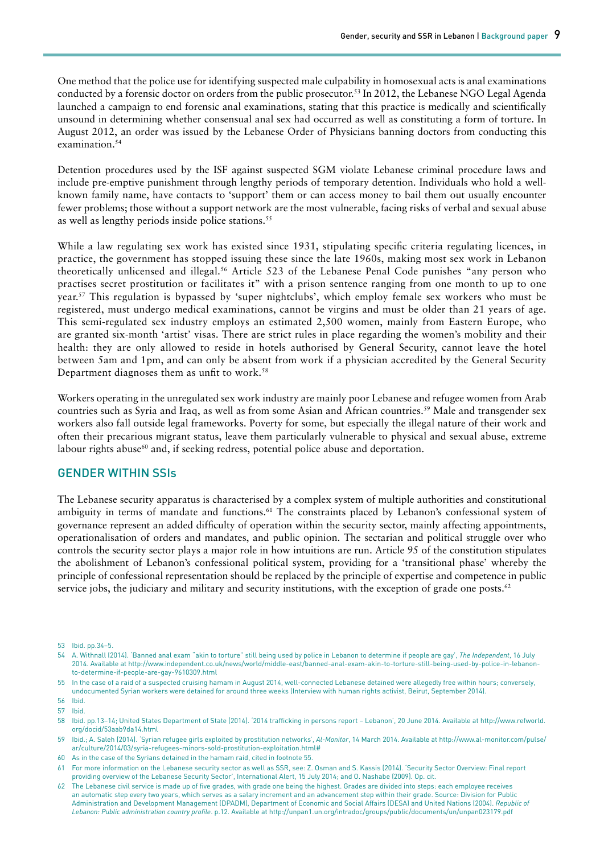One method that the police use for identifying suspected male culpability in homosexual acts is anal examinations conducted by a forensic doctor on orders from the public prosecutor.53 In 2012, the Lebanese NGO Legal Agenda launched a campaign to end forensic anal examinations, stating that this practice is medically and scientifically unsound in determining whether consensual anal sex had occurred as well as constituting a form of torture. In August 2012, an order was issued by the Lebanese Order of Physicians banning doctors from conducting this examination.<sup>54</sup>

Detention procedures used by the ISF against suspected SGM violate Lebanese criminal procedure laws and include pre-emptive punishment through lengthy periods of temporary detention. Individuals who hold a wellknown family name, have contacts to 'support' them or can access money to bail them out usually encounter fewer problems; those without a support network are the most vulnerable, facing risks of verbal and sexual abuse as well as lengthy periods inside police stations.<sup>55</sup>

While a law regulating sex work has existed since 1931, stipulating specific criteria regulating licences, in practice, the government has stopped issuing these since the late 1960s, making most sex work in Lebanon theoretically unlicensed and illegal.<sup>56</sup> Article 523 of the Lebanese Penal Code punishes "any person who practises secret prostitution or facilitates it" with a prison sentence ranging from one month to up to one year.57 This regulation is bypassed by 'super nightclubs', which employ female sex workers who must be registered, must undergo medical examinations, cannot be virgins and must be older than 21 years of age. This semi-regulated sex industry employs an estimated 2,500 women, mainly from Eastern Europe, who are granted six-month 'artist' visas. There are strict rules in place regarding the women's mobility and their health: they are only allowed to reside in hotels authorised by General Security, cannot leave the hotel between 5am and 1pm, and can only be absent from work if a physician accredited by the General Security Department diagnoses them as unfit to work.<sup>58</sup>

Workers operating in the unregulated sex work industry are mainly poor Lebanese and refugee women from Arab countries such as Syria and Iraq, as well as from some Asian and African countries.59 Male and transgender sex workers also fall outside legal frameworks. Poverty for some, but especially the illegal nature of their work and often their precarious migrant status, leave them particularly vulnerable to physical and sexual abuse, extreme labour rights abuse<sup>60</sup> and, if seeking redress, potential police abuse and deportation.

## GENDER WITHIN SSIs

The Lebanese security apparatus is characterised by a complex system of multiple authorities and constitutional ambiguity in terms of mandate and functions.<sup>61</sup> The constraints placed by Lebanon's confessional system of governance represent an added difficulty of operation within the security sector, mainly affecting appointments, operationalisation of orders and mandates, and public opinion. The sectarian and political struggle over who controls the security sector plays a major role in how intuitions are run. Article 95 of the constitution stipulates the abolishment of Lebanon's confessional political system, providing for a 'transitional phase' whereby the principle of confessional representation should be replaced by the principle of expertise and competence in public service jobs, the judiciary and military and security institutions, with the exception of grade one posts.<sup>62</sup>

<sup>53</sup> Ibid. pp.34–5.

<sup>54</sup> A. Withnall (2014). 'Banned anal exam "akin to torture" still being used by police in Lebanon to determine if people are gay', *The Independent*, 16 July 2014. Available at [http://www.independent.co.uk/news/world/middle-east/banned-anal-exam-akin-to-torture-still-being-used-by-police-in-lebanon](http://www.independent.co.uk/news/world/middle-east/banned-anal-exam-akin-to-torture-still-being-used-by-police-in-lebanon-to-determine-if-people-are-gay-9610309.html)[to-determine-if-people-are-gay-9610309.html](http://www.independent.co.uk/news/world/middle-east/banned-anal-exam-akin-to-torture-still-being-used-by-police-in-lebanon-to-determine-if-people-are-gay-9610309.html)

<sup>55</sup> In the case of a raid of a suspected cruising hamam in August 2014, well-connected Lebanese detained were allegedly free within hours; conversely, undocumented Syrian workers were detained for around three weeks (Interview with human rights activist, Beirut, September 2014).

<sup>56</sup> Ibid.

<sup>57</sup> Ibid.

<sup>58</sup> Ibid. pp.13–14; United States Department of State (2014). '2014 trafficking in persons report – Lebanon', 20 June 2014. Available at [http://www.refworld.](http://www.refworld.org/docid/53aab9da14.html) [org/docid/53aab9da14.html](http://www.refworld.org/docid/53aab9da14.html) 

<sup>59</sup> Ibid.; A. Saleh (2014). 'Syrian refugee girls exploited by prostitution networks', *Al-Monitor*, 14 March 2014. Available at [http://www.al-monitor.com/pulse/](http://www.al-monitor.com/pulse/ar/culture/2014/03/syria-refugees-minors-sold-prostitution-exploitation.html) [ar/culture/2014/03/syria-refugees-minors-sold-prostitution-exploitation.html#](http://www.al-monitor.com/pulse/ar/culture/2014/03/syria-refugees-minors-sold-prostitution-exploitation.html)

<sup>60</sup> As in the case of the Syrians detained in the hamam raid, cited in footnote 55.

<sup>61</sup> For more information on the Lebanese security sector as well as SSR, see: Z. Osman and S. Kassis (2014). 'Security Sector Overview: Final report providing overview of the Lebanese Security Sector', International Alert, 15 July 2014; and O. Nashabe (2009). Op. cit.

<sup>62</sup> The Lebanese civil service is made up of five grades, with grade one being the highest. Grades are divided into steps: each employee receives an automatic step every two years, which serves as a salary increment and an advancement step within their grade. Source: Division for Public Administration and Development Management (DPADM), Department of Economic and Social Affairs (DESA) and United Nations (2004). *Republic of Lebanon: Public administration country profile*. p.12. Available at<http://unpan1.un.org/intradoc/groups/public/documents/un/unpan023179.pdf>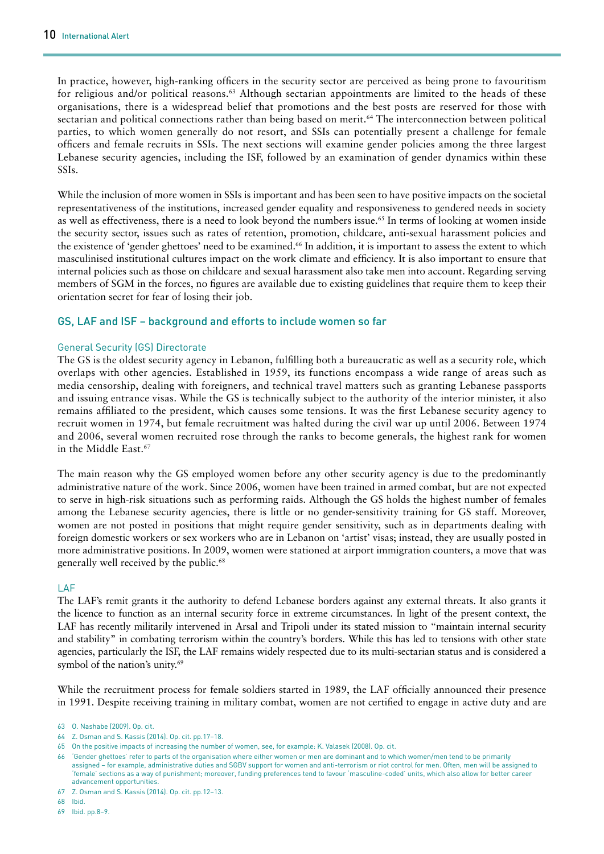In practice, however, high-ranking officers in the security sector are perceived as being prone to favouritism for religious and/or political reasons.<sup>63</sup> Although sectarian appointments are limited to the heads of these organisations, there is a widespread belief that promotions and the best posts are reserved for those with sectarian and political connections rather than being based on merit.<sup>64</sup> The interconnection between political parties, to which women generally do not resort, and SSIs can potentially present a challenge for female officers and female recruits in SSIs. The next sections will examine gender policies among the three largest Lebanese security agencies, including the ISF, followed by an examination of gender dynamics within these SSIs.

While the inclusion of more women in SSIs is important and has been seen to have positive impacts on the societal representativeness of the institutions, increased gender equality and responsiveness to gendered needs in society as well as effectiveness, there is a need to look beyond the numbers issue.<sup>65</sup> In terms of looking at women inside the security sector, issues such as rates of retention, promotion, childcare, anti-sexual harassment policies and the existence of 'gender ghettoes' need to be examined.66 In addition, it is important to assess the extent to which masculinised institutional cultures impact on the work climate and efficiency. It is also important to ensure that internal policies such as those on childcare and sexual harassment also take men into account. Regarding serving members of SGM in the forces, no figures are available due to existing guidelines that require them to keep their orientation secret for fear of losing their job.

### GS, LAF and ISF – background and efforts to include women so far

#### General Security (GS) Directorate

The GS is the oldest security agency in Lebanon, fulfilling both a bureaucratic as well as a security role, which overlaps with other agencies. Established in 1959, its functions encompass a wide range of areas such as media censorship, dealing with foreigners, and technical travel matters such as granting Lebanese passports and issuing entrance visas. While the GS is technically subject to the authority of the interior minister, it also remains affiliated to the president, which causes some tensions. It was the first Lebanese security agency to recruit women in 1974, but female recruitment was halted during the civil war up until 2006. Between 1974 and 2006, several women recruited rose through the ranks to become generals, the highest rank for women in the Middle East.<sup>67</sup>

The main reason why the GS employed women before any other security agency is due to the predominantly administrative nature of the work. Since 2006, women have been trained in armed combat, but are not expected to serve in high-risk situations such as performing raids. Although the GS holds the highest number of females among the Lebanese security agencies, there is little or no gender-sensitivity training for GS staff. Moreover, women are not posted in positions that might require gender sensitivity, such as in departments dealing with foreign domestic workers or sex workers who are in Lebanon on 'artist' visas; instead, they are usually posted in more administrative positions. In 2009, women were stationed at airport immigration counters, a move that was generally well received by the public.<sup>68</sup>

#### LAF

The LAF's remit grants it the authority to defend Lebanese borders against any external threats. It also grants it the licence to function as an internal security force in extreme circumstances. In light of the present context, the LAF has recently militarily intervened in Arsal and Tripoli under its stated mission to "maintain internal security and stability" in combating terrorism within the country's borders. While this has led to tensions with other state agencies, particularly the ISF, the LAF remains widely respected due to its multi-sectarian status and is considered a symbol of the nation's unity.<sup>69</sup>

While the recruitment process for female soldiers started in 1989, the LAF officially announced their presence in 1991. Despite receiving training in military combat, women are not certified to engage in active duty and are

<sup>63</sup> O. Nashabe (2009). Op. cit.

<sup>64</sup> Z. Osman and S. Kassis (2014). Op. cit. pp.17–18.

<sup>65</sup> On the positive impacts of increasing the number of women, see, for example: K. Valasek (2008). Op. cit.

<sup>66 &#</sup>x27;Gender ghettoes' refer to parts of the organisation where either women or men are dominant and to which women/men tend to be primarily assigned – for example, administrative duties and SGBV support for women and anti-terrorism or riot control for men. Often, men will be assigned to 'female' sections as a way of punishment; moreover, funding preferences tend to favour 'masculine-coded' units, which also allow for better career advancement opportunities.

<sup>67</sup> Z. Osman and S. Kassis (2014). Op. cit. pp.12–13.

<sup>68</sup> Ibid.

<sup>69</sup> Ibid. pp.8–9.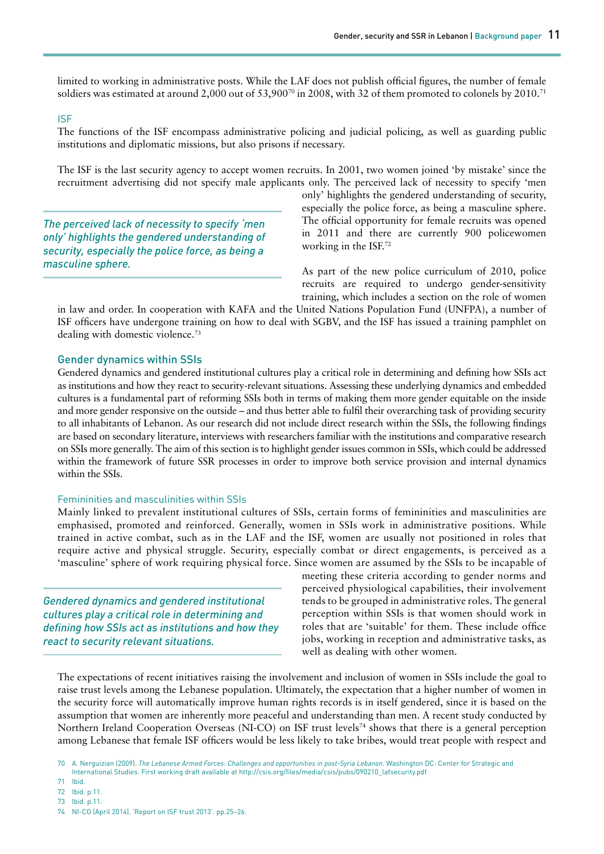limited to working in administrative posts. While the LAF does not publish official figures, the number of female soldiers was estimated at around 2,000 out of 53,900<sup>70</sup> in 2008, with 32 of them promoted to colonels by 2010.<sup>71</sup>

#### ISF

The functions of the ISF encompass administrative policing and judicial policing, as well as guarding public institutions and diplomatic missions, but also prisons if necessary.

The ISF is the last security agency to accept women recruits. In 2001, two women joined 'by mistake' since the recruitment advertising did not specify male applicants only. The perceived lack of necessity to specify 'men

*The perceived lack of necessity to specify 'men only' highlights the gendered understanding of security, especially the police force, as being a masculine sphere.*

only' highlights the gendered understanding of security, especially the police force, as being a masculine sphere. The official opportunity for female recruits was opened in 2011 and there are currently 900 policewomen working in the ISF.72

As part of the new police curriculum of 2010, police recruits are required to undergo gender-sensitivity training, which includes a section on the role of women

in law and order. In cooperation with KAFA and the United Nations Population Fund (UNFPA), a number of ISF officers have undergone training on how to deal with SGBV, and the ISF has issued a training pamphlet on dealing with domestic violence.73

### Gender dynamics within SSIs

Gendered dynamics and gendered institutional cultures play a critical role in determining and defining how SSIs act as institutions and how they react to security-relevant situations. Assessing these underlying dynamics and embedded cultures is a fundamental part of reforming SSIs both in terms of making them more gender equitable on the inside and more gender responsive on the outside – and thus better able to fulfil their overarching task of providing security to all inhabitants of Lebanon. As our research did not include direct research within the SSIs, the following findings are based on secondary literature, interviews with researchers familiar with the institutions and comparative research on SSIs more generally. The aim of this section is to highlight gender issues common in SSIs, which could be addressed within the framework of future SSR processes in order to improve both service provision and internal dynamics within the SSIs.

#### Femininities and masculinities within SSIs

Mainly linked to prevalent institutional cultures of SSIs, certain forms of femininities and masculinities are emphasised, promoted and reinforced. Generally, women in SSIs work in administrative positions. While trained in active combat, such as in the LAF and the ISF, women are usually not positioned in roles that require active and physical struggle. Security, especially combat or direct engagements, is perceived as a 'masculine' sphere of work requiring physical force. Since women are assumed by the SSIs to be incapable of

*Gendered dynamics and gendered institutional cultures play a critical role in determining and defining how SSIs act as institutions and how they react to security relevant situations.*

meeting these criteria according to gender norms and perceived physiological capabilities, their involvement tends to be grouped in administrative roles. The general perception within SSIs is that women should work in roles that are 'suitable' for them. These include office jobs, working in reception and administrative tasks, as well as dealing with other women.

The expectations of recent initiatives raising the involvement and inclusion of women in SSIs include the goal to raise trust levels among the Lebanese population. Ultimately, the expectation that a higher number of women in the security force will automatically improve human rights records is in itself gendered, since it is based on the assumption that women are inherently more peaceful and understanding than men. A recent study conducted by Northern Ireland Cooperation Overseas (NI-CO) on ISF trust levels<sup>74</sup> shows that there is a general perception among Lebanese that female ISF officers would be less likely to take bribes, would treat people with respect and

72 Ibid. p.11.

<sup>70</sup> A. Nerguizian (2009). *The Lebanese Armed Forces: Challenges and opportunities in post-Syria Lebanon*. Washington DC: Center for Strategic and International Studies. First working draft available at [http://csis.org/files/media/csis/pubs/090210\\_lafsecurity.pdf](http://csis.org/files/media/csis/pubs/090210_lafsecurity.pdf) 

<sup>71</sup> Ibid.

<sup>73</sup> Ibid. p.11.

<sup>74</sup> NI-CO (April 2014). 'Report on ISF trust 2013'. pp.25–26.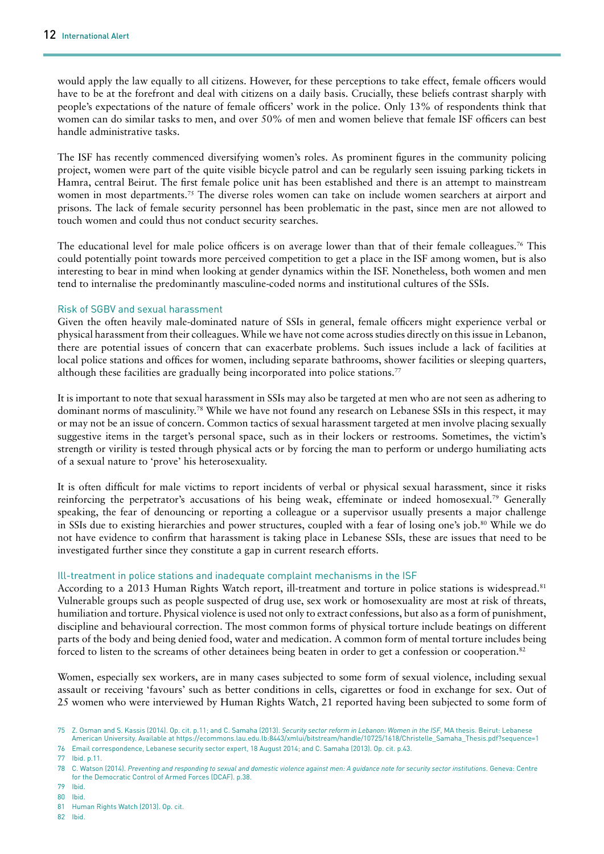would apply the law equally to all citizens. However, for these perceptions to take effect, female officers would have to be at the forefront and deal with citizens on a daily basis. Crucially, these beliefs contrast sharply with people's expectations of the nature of female officers' work in the police. Only 13% of respondents think that women can do similar tasks to men, and over 50% of men and women believe that female ISF officers can best handle administrative tasks.

The ISF has recently commenced diversifying women's roles. As prominent figures in the community policing project, women were part of the quite visible bicycle patrol and can be regularly seen issuing parking tickets in Hamra, central Beirut. The first female police unit has been established and there is an attempt to mainstream women in most departments.<sup>75</sup> The diverse roles women can take on include women searchers at airport and prisons. The lack of female security personnel has been problematic in the past, since men are not allowed to touch women and could thus not conduct security searches.

The educational level for male police officers is on average lower than that of their female colleagues.<sup>76</sup> This could potentially point towards more perceived competition to get a place in the ISF among women, but is also interesting to bear in mind when looking at gender dynamics within the ISF. Nonetheless, both women and men tend to internalise the predominantly masculine-coded norms and institutional cultures of the SSIs.

#### Risk of SGBV and sexual harassment

Given the often heavily male-dominated nature of SSIs in general, female officers might experience verbal or physical harassment from their colleagues. While we have not come across studies directly on this issue in Lebanon, there are potential issues of concern that can exacerbate problems. Such issues include a lack of facilities at local police stations and offices for women, including separate bathrooms, shower facilities or sleeping quarters, although these facilities are gradually being incorporated into police stations.<sup>77</sup>

It is important to note that sexual harassment in SSIs may also be targeted at men who are not seen as adhering to dominant norms of masculinity.78 While we have not found any research on Lebanese SSIs in this respect, it may or may not be an issue of concern. Common tactics of sexual harassment targeted at men involve placing sexually suggestive items in the target's personal space, such as in their lockers or restrooms. Sometimes, the victim's strength or virility is tested through physical acts or by forcing the man to perform or undergo humiliating acts of a sexual nature to 'prove' his heterosexuality.

It is often difficult for male victims to report incidents of verbal or physical sexual harassment, since it risks reinforcing the perpetrator's accusations of his being weak, effeminate or indeed homosexual.79 Generally speaking, the fear of denouncing or reporting a colleague or a supervisor usually presents a major challenge in SSIs due to existing hierarchies and power structures, coupled with a fear of losing one's job.<sup>80</sup> While we do not have evidence to confirm that harassment is taking place in Lebanese SSIs, these are issues that need to be investigated further since they constitute a gap in current research efforts.

### Ill-treatment in police stations and inadequate complaint mechanisms in the ISF

According to a 2013 Human Rights Watch report, ill-treatment and torture in police stations is widespread.<sup>81</sup> Vulnerable groups such as people suspected of drug use, sex work or homosexuality are most at risk of threats, humiliation and torture. Physical violence is used not only to extract confessions, but also as a form of punishment, discipline and behavioural correction. The most common forms of physical torture include beatings on different parts of the body and being denied food, water and medication. A common form of mental torture includes being forced to listen to the screams of other detainees being beaten in order to get a confession or cooperation.82

Women, especially sex workers, are in many cases subjected to some form of sexual violence, including sexual assault or receiving 'favours' such as better conditions in cells, cigarettes or food in exchange for sex. Out of 25 women who were interviewed by Human Rights Watch, 21 reported having been subjected to some form of

76 Email correspondence, Lebanese security sector expert, 18 August 2014; and C. Samaha (2013). Op. cit. p.43.

77 Ibid. p.11.

- 80 Ibid.
- 81 Human Rights Watch (2013). Op. cit.

<sup>75</sup> Z. Osman and S. Kassis (2014). Op. cit. p.11; and C. Samaha (2013). *Security sector reform in Lebanon: Women in the ISF*, MA thesis. Beirut: Lebanese American University. Available at [https://ecommons.lau.edu.lb:8443/xmlui/bitstream/handle/10725/1618/Christelle\\_Samaha\\_Thesis.pdf?sequence=1](https://ecommons.lau.edu.lb:8443/xmlui/bitstream/handle/10725/1618/Christelle_Samaha_Thesis.pdf?sequence=1)

<sup>78</sup> C. Watson (2014). *Preventing and responding to sexual and domestic violence against men: A guidance note for security sector institutions*. Geneva: Centre for the Democratic Control of Armed Forces (DCAF). p.38.

<sup>79</sup> Ibid.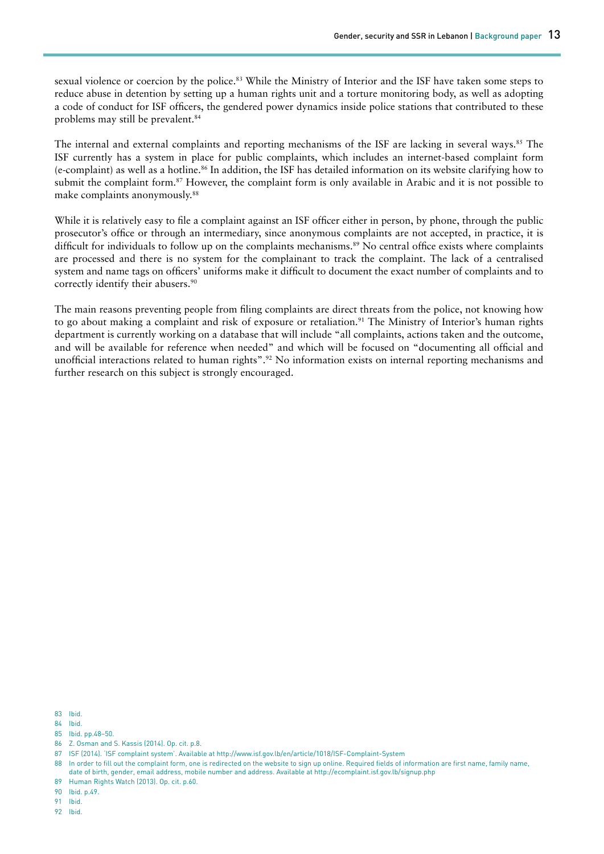sexual violence or coercion by the police.<sup>83</sup> While the Ministry of Interior and the ISF have taken some steps to reduce abuse in detention by setting up a human rights unit and a torture monitoring body, as well as adopting a code of conduct for ISF officers, the gendered power dynamics inside police stations that contributed to these problems may still be prevalent.84

The internal and external complaints and reporting mechanisms of the ISF are lacking in several ways.<sup>85</sup> The ISF currently has a system in place for public complaints, which includes an internet-based complaint form (e-complaint) as well as a hotline.86 In addition, the ISF has detailed information on its website clarifying how to submit the complaint form.<sup>87</sup> However, the complaint form is only available in Arabic and it is not possible to make complaints anonymously.88

While it is relatively easy to file a complaint against an ISF officer either in person, by phone, through the public prosecutor's office or through an intermediary, since anonymous complaints are not accepted, in practice, it is difficult for individuals to follow up on the complaints mechanisms.<sup>89</sup> No central office exists where complaints are processed and there is no system for the complainant to track the complaint. The lack of a centralised system and name tags on officers' uniforms make it difficult to document the exact number of complaints and to correctly identify their abusers.<sup>90</sup>

The main reasons preventing people from filing complaints are direct threats from the police, not knowing how to go about making a complaint and risk of exposure or retaliation.<sup>91</sup> The Ministry of Interior's human rights department is currently working on a database that will include "all complaints, actions taken and the outcome, and will be available for reference when needed" and which will be focused on "documenting all official and unofficial interactions related to human rights".92 No information exists on internal reporting mechanisms and further research on this subject is strongly encouraged.

83 Ibid.

84 Ibid.

85 Ibid. pp.48–50.

86 Z. Osman and S. Kassis (2014). Op. cit. p.8.

89 Human Rights Watch (2013). Op. cit. p.60.

90 Ibid. p.49.

91 Ibid.

<sup>87</sup> ISF (2014). 'ISF complaint system'. Available at <http://www.isf.gov.lb/en/article/1018/ISF-Complaint-System>

<sup>88</sup> In order to fill out the complaint form, one is redirected on the website to sign up online. Required fields of information are first name, family name, date of birth, gender, email address, mobile number and address. Available at <http://ecomplaint.isf.gov.lb/signup.php>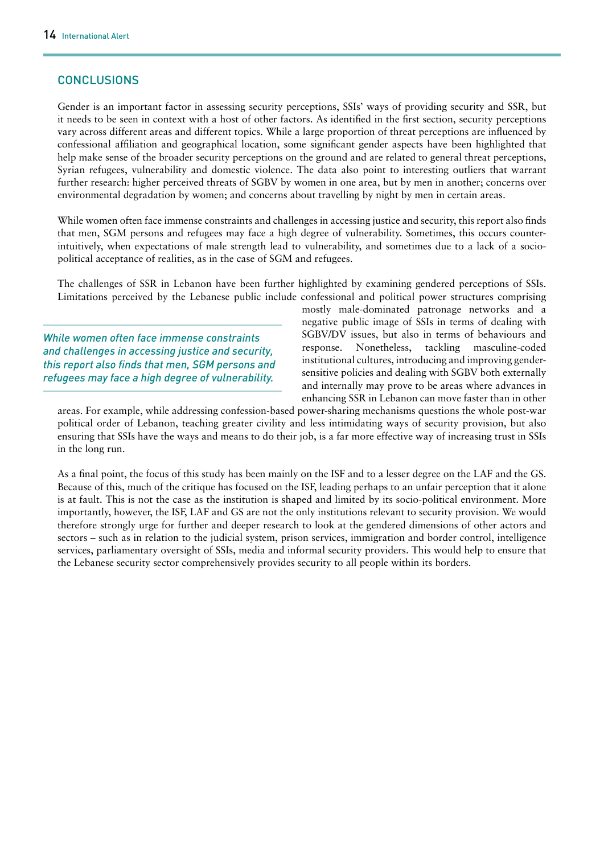# **CONCLUSIONS**

Gender is an important factor in assessing security perceptions, SSIs' ways of providing security and SSR, but it needs to be seen in context with a host of other factors. As identified in the first section, security perceptions vary across different areas and different topics. While a large proportion of threat perceptions are influenced by confessional affiliation and geographical location, some significant gender aspects have been highlighted that help make sense of the broader security perceptions on the ground and are related to general threat perceptions, Syrian refugees, vulnerability and domestic violence. The data also point to interesting outliers that warrant further research: higher perceived threats of SGBV by women in one area, but by men in another; concerns over environmental degradation by women; and concerns about travelling by night by men in certain areas.

While women often face immense constraints and challenges in accessing justice and security, this report also finds that men, SGM persons and refugees may face a high degree of vulnerability. Sometimes, this occurs counterintuitively, when expectations of male strength lead to vulnerability, and sometimes due to a lack of a sociopolitical acceptance of realities, as in the case of SGM and refugees.

The challenges of SSR in Lebanon have been further highlighted by examining gendered perceptions of SSIs. Limitations perceived by the Lebanese public include confessional and political power structures comprising

*While women often face immense constraints and challenges in accessing justice and security, this report also finds that men, SGM persons and refugees may face a high degree of vulnerability.*

mostly male-dominated patronage networks and a negative public image of SSIs in terms of dealing with SGBV/DV issues, but also in terms of behaviours and response. Nonetheless, tackling masculine-coded institutional cultures, introducing and improving gendersensitive policies and dealing with SGBV both externally and internally may prove to be areas where advances in enhancing SSR in Lebanon can move faster than in other

areas. For example, while addressing confession-based power-sharing mechanisms questions the whole post-war political order of Lebanon, teaching greater civility and less intimidating ways of security provision, but also ensuring that SSIs have the ways and means to do their job, is a far more effective way of increasing trust in SSIs in the long run.

As a final point, the focus of this study has been mainly on the ISF and to a lesser degree on the LAF and the GS. Because of this, much of the critique has focused on the ISF, leading perhaps to an unfair perception that it alone is at fault. This is not the case as the institution is shaped and limited by its socio-political environment. More importantly, however, the ISF, LAF and GS are not the only institutions relevant to security provision. We would therefore strongly urge for further and deeper research to look at the gendered dimensions of other actors and sectors – such as in relation to the judicial system, prison services, immigration and border control, intelligence services, parliamentary oversight of SSIs, media and informal security providers. This would help to ensure that the Lebanese security sector comprehensively provides security to all people within its borders.